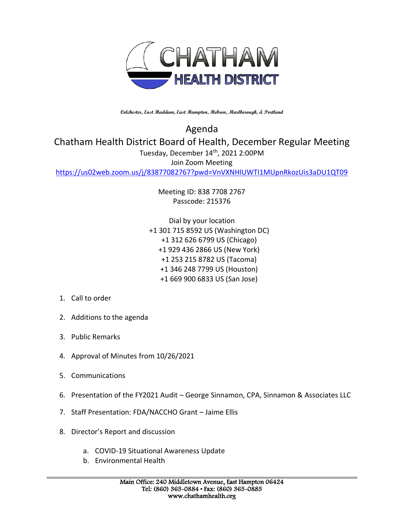

**Colchester, East Haddam, East Hampton, Hebron, Marlborough, & Portland**

Agenda Chatham Health District Board of Health, December Regular Meeting Tuesday, December 14th, 2021 2:00PM Join Zoom Meeting

<https://us02web.zoom.us/j/83877082767?pwd=VnVXNHlUWTI1MUpnRkozUis3aDU1QT09>

Meeting ID: 838 7708 2767 Passcode: 215376

Dial by your location +1 301 715 8592 US (Washington DC) +1 312 626 6799 US (Chicago) +1 929 436 2866 US (New York) +1 253 215 8782 US (Tacoma) +1 346 248 7799 US (Houston) +1 669 900 6833 US (San Jose)

- 1. Call to order
- 2. Additions to the agenda
- 3. Public Remarks
- 4. Approval of Minutes from 10/26/2021
- 5. Communications
- 6. Presentation of the FY2021 Audit George Sinnamon, CPA, Sinnamon & Associates LLC
- 7. Staff Presentation: FDA/NACCHO Grant Jaime Ellis
- 8. Director's Report and discussion
	- a. COVID-19 Situational Awareness Update
	- b. Environmental Health